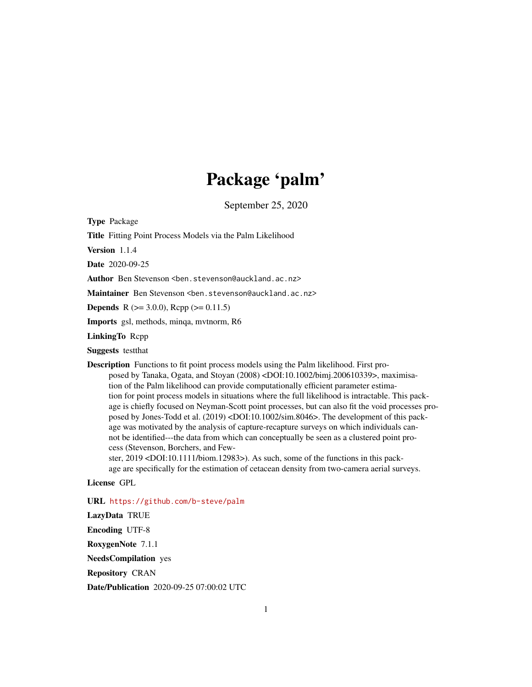# Package 'palm'

September 25, 2020

<span id="page-0-0"></span>Type Package

Title Fitting Point Process Models via the Palm Likelihood

Version 1.1.4

Date 2020-09-25

Author Ben Stevenson <ben.stevenson@auckland.ac.nz>

Maintainer Ben Stevenson <ben.stevenson@auckland.ac.nz>

**Depends** R ( $>= 3.0.0$ ), Rcpp ( $>= 0.11.5$ )

Imports gsl, methods, minqa, mvtnorm, R6

LinkingTo Rcpp

Suggests testthat

Description Functions to fit point process models using the Palm likelihood. First proposed by Tanaka, Ogata, and Stoyan (2008) <DOI:10.1002/bimj.200610339>, maximisation of the Palm likelihood can provide computationally efficient parameter estimation for point process models in situations where the full likelihood is intractable. This package is chiefly focused on Neyman-Scott point processes, but can also fit the void processes proposed by Jones-Todd et al. (2019) <DOI:10.1002/sim.8046>. The development of this package was motivated by the analysis of capture-recapture surveys on which individuals cannot be identified---the data from which can conceptually be seen as a clustered point process (Stevenson, Borchers, and Few-

ster, 2019 <DOI:10.1111/biom.12983>). As such, some of the functions in this package are specifically for the estimation of cetacean density from two-camera aerial surveys.

License GPL

URL <https://github.com/b-steve/palm>

LazyData TRUE Encoding UTF-8 RoxygenNote 7.1.1 NeedsCompilation yes Repository CRAN Date/Publication 2020-09-25 07:00:02 UTC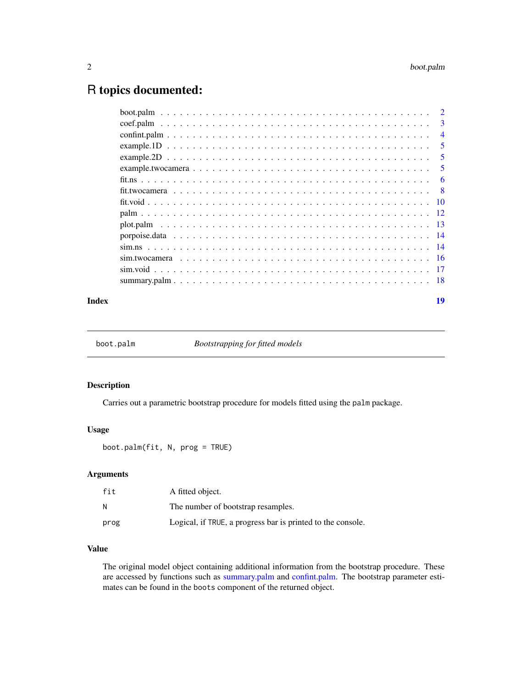# <span id="page-1-0"></span>R topics documented:

|  |  | 3              |
|--|--|----------------|
|  |  | $\overline{4}$ |
|  |  | 5              |
|  |  | 5              |
|  |  | 5              |
|  |  | 6              |
|  |  | - 8            |
|  |  |                |
|  |  |                |
|  |  |                |
|  |  |                |
|  |  |                |
|  |  |                |
|  |  |                |
|  |  |                |
|  |  |                |

#### **Index** 2008 **[19](#page-18-0)99**

<span id="page-1-1"></span>boot.palm *Bootstrapping for fitted models*

# Description

Carries out a parametric bootstrap procedure for models fitted using the palm package.

# Usage

boot.palm(fit, N, prog = TRUE)

# Arguments

| fit  | A fitted object.                                            |
|------|-------------------------------------------------------------|
| и    | The number of bootstrap resamples.                          |
| prog | Logical, if TRUE, a progress bar is printed to the console. |

# Value

The original model object containing additional information from the bootstrap procedure. These are accessed by functions such as [summary.palm](#page-17-1) and [confint.palm.](#page-3-1) The bootstrap parameter estimates can be found in the boots component of the returned object.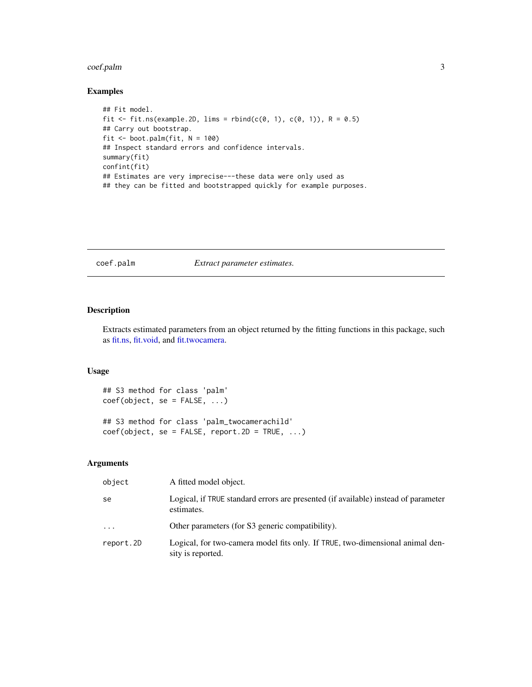#### <span id="page-2-0"></span>coef.palm 3

# Examples

```
## Fit model.
fit \le fit.ns(example.2D, lims = rbind(c(0, 1), c(0, 1)), R = 0.5)
## Carry out bootstrap.
fit <- boot.palm(fit, N = 100)
## Inspect standard errors and confidence intervals.
summary(fit)
confint(fit)
## Estimates are very imprecise---these data were only used as
## they can be fitted and bootstrapped quickly for example purposes.
```
#### <span id="page-2-1"></span>coef.palm *Extract parameter estimates.*

### Description

Extracts estimated parameters from an object returned by the fitting functions in this package, such as [fit.ns,](#page-5-1) [fit.void,](#page-9-1) and [fit.twocamera.](#page-7-1)

### Usage

```
## S3 method for class 'palm'
coef(object, se = FALSE, ...)
## S3 method for class 'palm_twocamerachild'
coef(object, se = FALSE, report.2D = TRUE, ...)
```

| object    | A fitted model object.                                                                             |
|-----------|----------------------------------------------------------------------------------------------------|
| se        | Logical, if TRUE standard errors are presented (if available) instead of parameter<br>estimates.   |
| $\ddotsc$ | Other parameters (for S3 generic compatibility).                                                   |
| report.2D | Logical, for two-camera model fits only. If TRUE, two-dimensional animal den-<br>sity is reported. |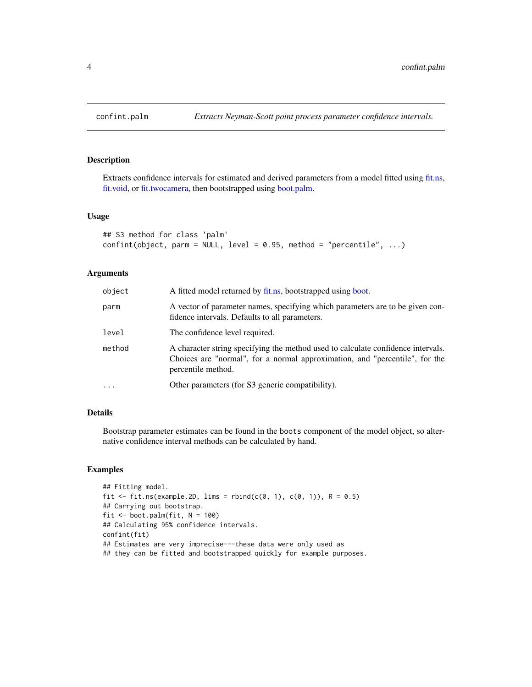Extracts confidence intervals for estimated and derived parameters from a model fitted using [fit.ns,](#page-5-1) [fit.void,](#page-9-1) or [fit.twocamera,](#page-7-1) then bootstrapped using [boot.palm.](#page-1-1)

## Usage

```
## S3 method for class 'palm'
confint(object, parm = NULL, level = 0.95, method = "percentile", ...)
```
# Arguments

| object | A fitted model returned by fit.ns, bootstrapped using boot.                                                                                                                           |
|--------|---------------------------------------------------------------------------------------------------------------------------------------------------------------------------------------|
| parm   | A vector of parameter names, specifying which parameters are to be given con-<br>fidence intervals. Defaults to all parameters.                                                       |
| level  | The confidence level required.                                                                                                                                                        |
| method | A character string specifying the method used to calculate confidence intervals.<br>Choices are "normal", for a normal approximation, and "percentile", for the<br>percentile method. |
| .      | Other parameters (for S3 generic compatibility).                                                                                                                                      |
|        |                                                                                                                                                                                       |

# Details

Bootstrap parameter estimates can be found in the boots component of the model object, so alternative confidence interval methods can be calculated by hand.

#### Examples

```
## Fitting model.
fit \le fit.ns(example.2D, lims = rbind(c(0, 1), c(0, 1)), R = 0.5)
## Carrying out bootstrap.
fit \le boot.palm(fit, N = 100)
## Calculating 95% confidence intervals.
confint(fit)
## Estimates are very imprecise---these data were only used as
## they can be fitted and bootstrapped quickly for example purposes.
```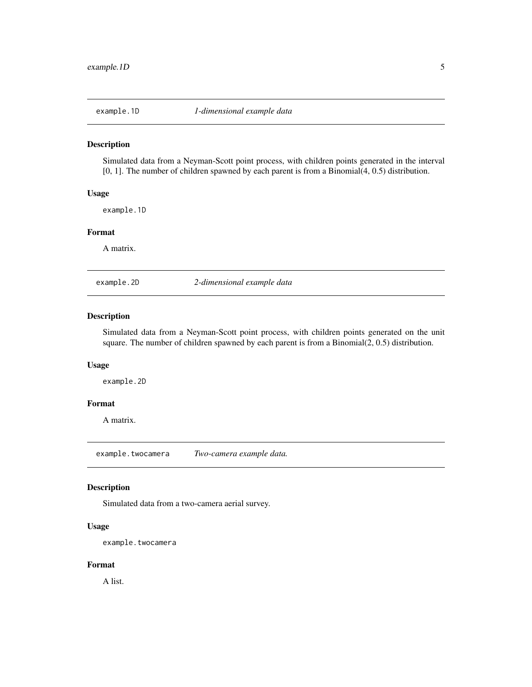<span id="page-4-0"></span>

Simulated data from a Neyman-Scott point process, with children points generated in the interval [0, 1]. The number of children spawned by each parent is from a Binomial(4, 0.5) distribution.

#### Usage

example.1D

#### Format

A matrix.

example.2D *2-dimensional example data*

#### Description

Simulated data from a Neyman-Scott point process, with children points generated on the unit square. The number of children spawned by each parent is from a Binomial(2, 0.5) distribution.

#### Usage

example.2D

# Format

A matrix.

example.twocamera *Two-camera example data.*

#### Description

Simulated data from a two-camera aerial survey.

#### Usage

example.twocamera

#### Format

A list.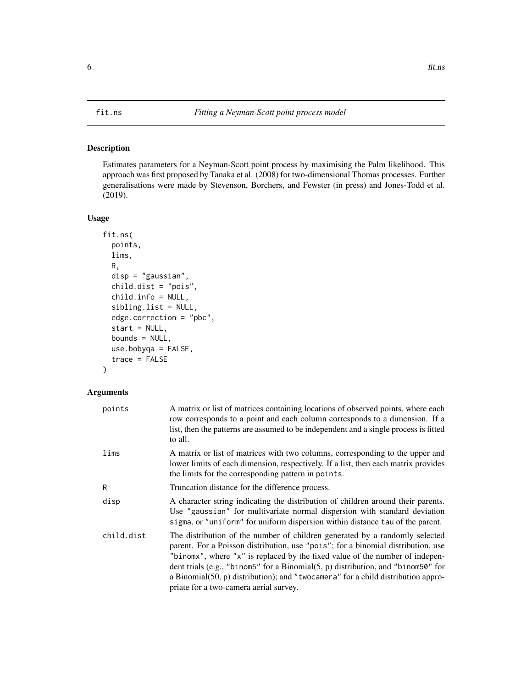<span id="page-5-1"></span><span id="page-5-0"></span>Estimates parameters for a Neyman-Scott point process by maximising the Palm likelihood. This approach was first proposed by Tanaka et al. (2008) for two-dimensional Thomas processes. Further generalisations were made by Stevenson, Borchers, and Fewster (in press) and Jones-Todd et al. (2019).

# Usage

```
fit.ns(
 points,
  lims,
  R,
  disp = "gaussian",
  child.dist = "pois",
  child.info = NULL,
  sibling.list = NULL,
  edge.correction = "pbc",
  start = NULL,
  bounds = NULL,
  use.bobyqa = FALSE,
  trace = FALSE
\mathcal{L}
```

| points     | A matrix or list of matrices containing locations of observed points, where each<br>row corresponds to a point and each column corresponds to a dimension. If a<br>list, then the patterns are assumed to be independent and a single process is fitted<br>to all.                                                                                                                                                                                                   |
|------------|----------------------------------------------------------------------------------------------------------------------------------------------------------------------------------------------------------------------------------------------------------------------------------------------------------------------------------------------------------------------------------------------------------------------------------------------------------------------|
| lims       | A matrix or list of matrices with two columns, corresponding to the upper and<br>lower limits of each dimension, respectively. If a list, then each matrix provides<br>the limits for the corresponding pattern in points.                                                                                                                                                                                                                                           |
| R          | Truncation distance for the difference process.                                                                                                                                                                                                                                                                                                                                                                                                                      |
| disp       | A character string indicating the distribution of children around their parents.<br>Use "gaussian" for multivariate normal dispersion with standard deviation<br>sigma, or "uniform" for uniform dispersion within distance tau of the parent.                                                                                                                                                                                                                       |
| child.dist | The distribution of the number of children generated by a randomly selected<br>parent. For a Poisson distribution, use "pois"; for a binomial distribution, use<br>"binomx", where "x" is replaced by the fixed value of the number of indepen-<br>dent trials (e.g., "binom5" for a Binomial(5, p) distribution, and "binom50" for<br>a Binomial $(50, p)$ distribution); and "twocamera" for a child distribution appro-<br>priate for a two-camera aerial survey. |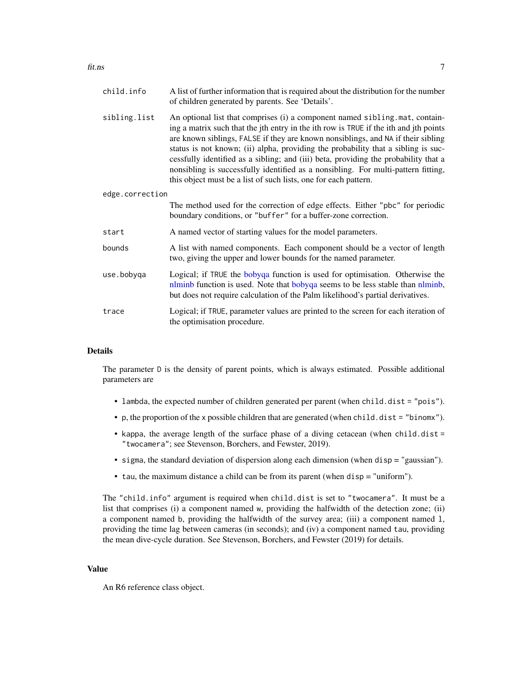<span id="page-6-0"></span>fit.ns 7

| child.info      | A list of further information that is required about the distribution for the number<br>of children generated by parents. See 'Details'.                                                                                                                                                                                                                                                                                                                                                                                                                                                     |
|-----------------|----------------------------------------------------------------------------------------------------------------------------------------------------------------------------------------------------------------------------------------------------------------------------------------------------------------------------------------------------------------------------------------------------------------------------------------------------------------------------------------------------------------------------------------------------------------------------------------------|
| sibling.list    | An optional list that comprises (i) a component named sibling mat, contain-<br>ing a matrix such that the jth entry in the ith row is TRUE if the ith and jth points<br>are known siblings, FALSE if they are known nonsiblings, and NA if their sibling<br>status is not known; (ii) alpha, providing the probability that a sibling is suc-<br>cessfully identified as a sibling; and (iii) beta, providing the probability that a<br>nonsibling is successfully identified as a nonsibling. For multi-pattern fitting,<br>this object must be a list of such lists, one for each pattern. |
| edge.correction |                                                                                                                                                                                                                                                                                                                                                                                                                                                                                                                                                                                              |
|                 | The method used for the correction of edge effects. Either "pbc" for periodic<br>boundary conditions, or "buffer" for a buffer-zone correction.                                                                                                                                                                                                                                                                                                                                                                                                                                              |
| start           | A named vector of starting values for the model parameters.                                                                                                                                                                                                                                                                                                                                                                                                                                                                                                                                  |
| bounds          | A list with named components. Each component should be a vector of length<br>two, giving the upper and lower bounds for the named parameter.                                                                                                                                                                                                                                                                                                                                                                                                                                                 |
| use.bobyga      | Logical; if TRUE the bobyqa function is used for optimisation. Otherwise the<br>nlminb function is used. Note that bobyqa seems to be less stable than nlminb,<br>but does not require calculation of the Palm likelihood's partial derivatives.                                                                                                                                                                                                                                                                                                                                             |
| trace           | Logical; if TRUE, parameter values are printed to the screen for each iteration of<br>the optimisation procedure.                                                                                                                                                                                                                                                                                                                                                                                                                                                                            |
|                 |                                                                                                                                                                                                                                                                                                                                                                                                                                                                                                                                                                                              |

# Details

The parameter D is the density of parent points, which is always estimated. Possible additional parameters are

- lambda, the expected number of children generated per parent (when child.dist = "pois").
- p, the proportion of the x possible children that are generated (when child.dist = "binomx").
- kappa, the average length of the surface phase of a diving cetacean (when child.dist = "twocamera"; see Stevenson, Borchers, and Fewster, 2019).
- sigma, the standard deviation of dispersion along each dimension (when disp = "gaussian").
- tau, the maximum distance a child can be from its parent (when disp = "uniform").

The "child.info" argument is required when child.dist is set to "twocamera". It must be a list that comprises (i) a component named w, providing the halfwidth of the detection zone; (ii) a component named b, providing the halfwidth of the survey area; (iii) a component named l, providing the time lag between cameras (in seconds); and (iv) a component named tau, providing the mean dive-cycle duration. See Stevenson, Borchers, and Fewster (2019) for details.

# Value

An R6 reference class object.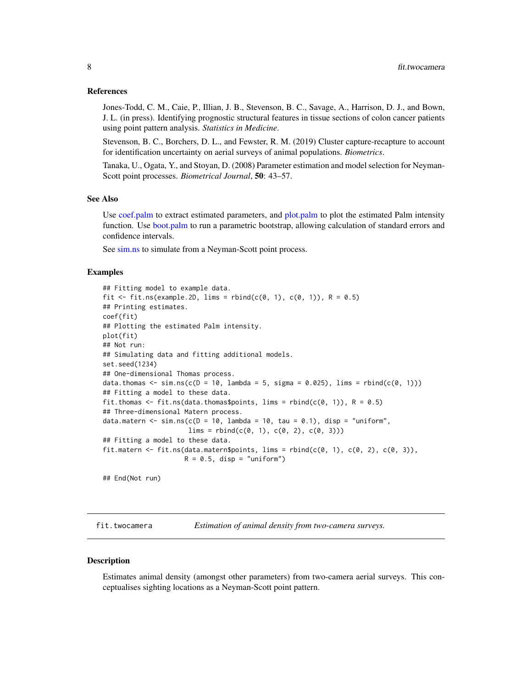#### <span id="page-7-0"></span>References

Jones-Todd, C. M., Caie, P., Illian, J. B., Stevenson, B. C., Savage, A., Harrison, D. J., and Bown, J. L. (in press). Identifying prognostic structural features in tissue sections of colon cancer patients using point pattern analysis. *Statistics in Medicine*.

Stevenson, B. C., Borchers, D. L., and Fewster, R. M. (2019) Cluster capture-recapture to account for identification uncertainty on aerial surveys of animal populations. *Biometrics*.

Tanaka, U., Ogata, Y., and Stoyan, D. (2008) Parameter estimation and model selection for Neyman-Scott point processes. *Biometrical Journal*, 50: 43–57.

#### See Also

Use [coef.palm](#page-2-1) to extract estimated parameters, and [plot.palm](#page-12-1) to plot the estimated Palm intensity function. Use [boot.palm](#page-1-1) to run a parametric bootstrap, allowing calculation of standard errors and confidence intervals.

See [sim.ns](#page-13-1) to simulate from a Neyman-Scott point process.

#### Examples

```
## Fitting model to example data.
fit \le fit.ns(example.2D, lims = rbind(c(0, 1), c(0, 1)), R = 0.5)
## Printing estimates.
coef(fit)
## Plotting the estimated Palm intensity.
plot(fit)
## Not run:
## Simulating data and fitting additional models.
set.seed(1234)
## One-dimensional Thomas process.
data.thomas <- sim.ns(c(D = 10, lambda = 5, sigma = 0.025), lims = rbind(c(0, 1)))## Fitting a model to these data.
fit.thomas <- fit.ns(data.thomas$points, lims = rbind(c(\emptyset, 1)), R = 0.5)
## Three-dimensional Matern process.
data.matern \leq sim.ns(c(D = 10, lambda = 10, tau = 0.1), disp = "uniform",
                      lims = rbind(c(0, 1), c(0, 2), c(0, 3)))## Fitting a model to these data.
fit.matern <- fit.ns(data.matern$points, lims = rbind(c(0, 1), c(0, 2), c(0, 3)),
                     R = 0.5, disp = "uniform")
## End(Not run)
```
<span id="page-7-1"></span>fit.twocamera *Estimation of animal density from two-camera surveys.*

#### **Description**

Estimates animal density (amongst other parameters) from two-camera aerial surveys. This conceptualises sighting locations as a Neyman-Scott point pattern.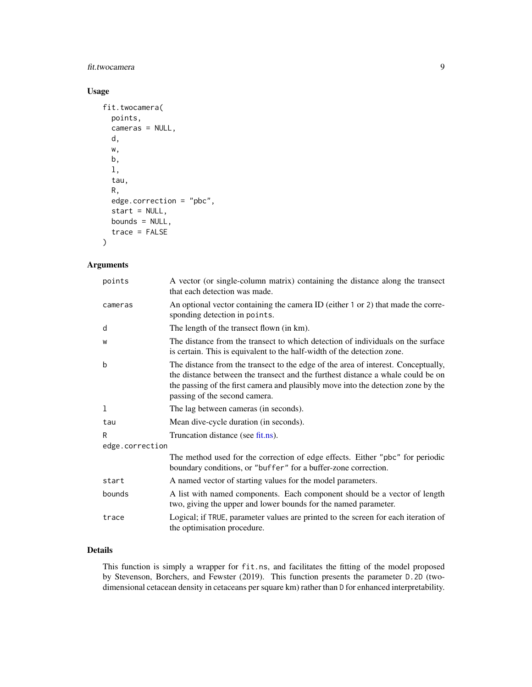# <span id="page-8-0"></span>fit.twocamera 9

# Usage

```
fit.twocamera(
 points,
  cameras = NULL,
 d,
  w,
 b,
  l,
  tau,
 R,
  edge.correction = "pbc",
  start = NULL,
 bounds = NULL,
  trace = FALSE
)
```
# Arguments

| points          | A vector (or single-column matrix) containing the distance along the transect<br>that each detection was made.                                                                                                                                                                             |  |
|-----------------|--------------------------------------------------------------------------------------------------------------------------------------------------------------------------------------------------------------------------------------------------------------------------------------------|--|
| cameras         | An optional vector containing the camera ID (either 1 or 2) that made the corre-<br>sponding detection in points.                                                                                                                                                                          |  |
| d               | The length of the transect flown (in km).                                                                                                                                                                                                                                                  |  |
| W               | The distance from the transect to which detection of individuals on the surface<br>is certain. This is equivalent to the half-width of the detection zone.                                                                                                                                 |  |
| b               | The distance from the transect to the edge of the area of interest. Conceptually,<br>the distance between the transect and the furthest distance a whale could be on<br>the passing of the first camera and plausibly move into the detection zone by the<br>passing of the second camera. |  |
| 1               | The lag between cameras (in seconds).                                                                                                                                                                                                                                                      |  |
| tau             | Mean dive-cycle duration (in seconds).                                                                                                                                                                                                                                                     |  |
| R               | Truncation distance (see fit.ns).                                                                                                                                                                                                                                                          |  |
| edge.correction |                                                                                                                                                                                                                                                                                            |  |
|                 | The method used for the correction of edge effects. Either "pbc" for periodic<br>boundary conditions, or "buffer" for a buffer-zone correction.                                                                                                                                            |  |
| start           | A named vector of starting values for the model parameters.                                                                                                                                                                                                                                |  |
| bounds          | A list with named components. Each component should be a vector of length<br>two, giving the upper and lower bounds for the named parameter.                                                                                                                                               |  |
| trace           | Logical; if TRUE, parameter values are printed to the screen for each iteration of<br>the optimisation procedure.                                                                                                                                                                          |  |

# Details

This function is simply a wrapper for fit.ns, and facilitates the fitting of the model proposed by Stevenson, Borchers, and Fewster (2019). This function presents the parameter D.2D (twodimensional cetacean density in cetaceans per square km) rather than D for enhanced interpretability.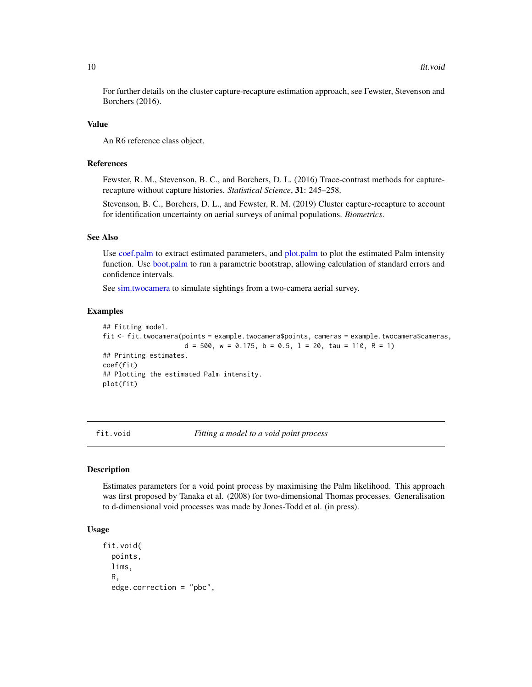<span id="page-9-0"></span>For further details on the cluster capture-recapture estimation approach, see Fewster, Stevenson and Borchers (2016).

#### Value

An R6 reference class object.

#### References

Fewster, R. M., Stevenson, B. C., and Borchers, D. L. (2016) Trace-contrast methods for capturerecapture without capture histories. *Statistical Science*, 31: 245–258.

Stevenson, B. C., Borchers, D. L., and Fewster, R. M. (2019) Cluster capture-recapture to account for identification uncertainty on aerial surveys of animal populations. *Biometrics*.

#### See Also

Use [coef.palm](#page-2-1) to extract estimated parameters, and [plot.palm](#page-12-1) to plot the estimated Palm intensity function. Use [boot.palm](#page-1-1) to run a parametric bootstrap, allowing calculation of standard errors and confidence intervals.

See [sim.twocamera](#page-15-1) to simulate sightings from a two-camera aerial survey.

#### Examples

```
## Fitting model.
fit <- fit.twocamera(points = example.twocamera$points, cameras = example.twocamera$cameras,
                     d = 500, w = 0.175, b = 0.5, 1 = 20, tau = 110, R = 1## Printing estimates.
coef(fit)
## Plotting the estimated Palm intensity.
plot(fit)
```
<span id="page-9-1"></span>fit.void *Fitting a model to a void point process*

#### **Description**

Estimates parameters for a void point process by maximising the Palm likelihood. This approach was first proposed by Tanaka et al. (2008) for two-dimensional Thomas processes. Generalisation to d-dimensional void processes was made by Jones-Todd et al. (in press).

# Usage

```
fit.void(
 points,
  lims,
  R,
  edge.correction = "pbc",
```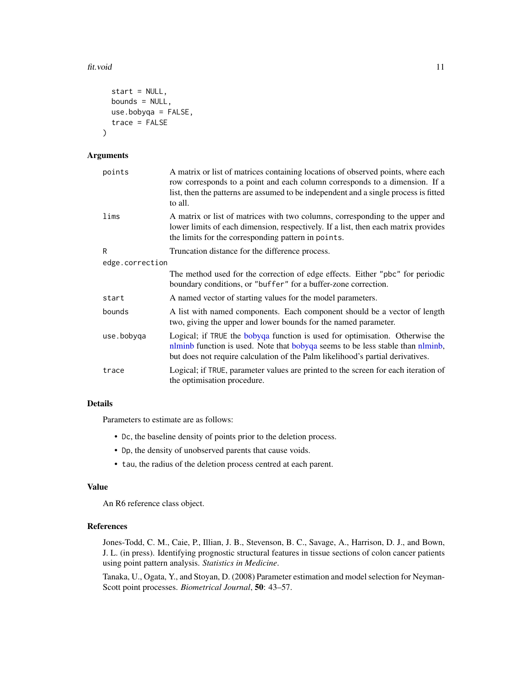#### <span id="page-10-0"></span>fit.void 11

```
start = NULL,
bounds = NULL,
use.bobyqa = FALSE,
trace = FALSE
```
#### Arguments

)

| points          | A matrix or list of matrices containing locations of observed points, where each<br>row corresponds to a point and each column corresponds to a dimension. If a<br>list, then the patterns are assumed to be independent and a single process is fitted<br>to all. |
|-----------------|--------------------------------------------------------------------------------------------------------------------------------------------------------------------------------------------------------------------------------------------------------------------|
| lims            | A matrix or list of matrices with two columns, corresponding to the upper and<br>lower limits of each dimension, respectively. If a list, then each matrix provides<br>the limits for the corresponding pattern in points.                                         |
| R               | Truncation distance for the difference process.                                                                                                                                                                                                                    |
| edge.correction |                                                                                                                                                                                                                                                                    |
|                 | The method used for the correction of edge effects. Either "pbc" for periodic<br>boundary conditions, or "buffer" for a buffer-zone correction.                                                                                                                    |
| start           | A named vector of starting values for the model parameters.                                                                                                                                                                                                        |
| bounds          | A list with named components. Each component should be a vector of length<br>two, giving the upper and lower bounds for the named parameter.                                                                                                                       |
| use.bobyga      | Logical; if TRUE the bobyqa function is used for optimisation. Otherwise the<br>nlminb function is used. Note that bobyqa seems to be less stable than nlminb,<br>but does not require calculation of the Palm likelihood's partial derivatives.                   |
| trace           | Logical; if TRUE, parameter values are printed to the screen for each iteration of<br>the optimisation procedure.                                                                                                                                                  |

# Details

Parameters to estimate are as follows:

- Dc, the baseline density of points prior to the deletion process.
- Dp, the density of unobserved parents that cause voids.
- tau, the radius of the deletion process centred at each parent.

# Value

An R6 reference class object.

#### References

Jones-Todd, C. M., Caie, P., Illian, J. B., Stevenson, B. C., Savage, A., Harrison, D. J., and Bown, J. L. (in press). Identifying prognostic structural features in tissue sections of colon cancer patients using point pattern analysis. *Statistics in Medicine*.

Tanaka, U., Ogata, Y., and Stoyan, D. (2008) Parameter estimation and model selection for Neyman-Scott point processes. *Biometrical Journal*, 50: 43–57.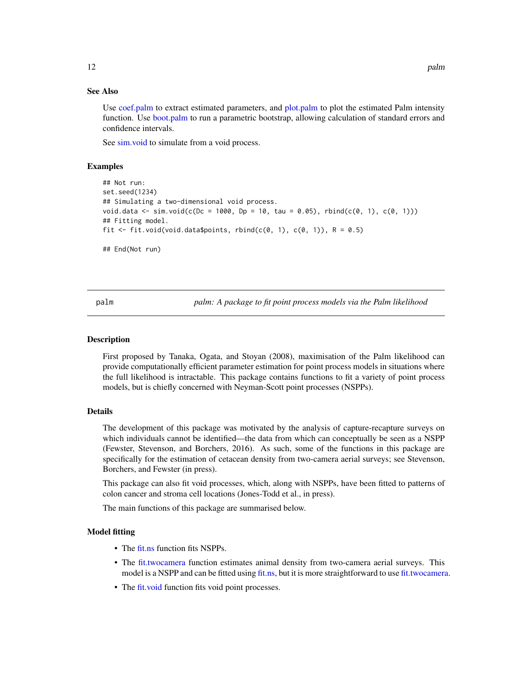#### <span id="page-11-0"></span>See Also

Use [coef.palm](#page-2-1) to extract estimated parameters, and [plot.palm](#page-12-1) to plot the estimated Palm intensity function. Use [boot.palm](#page-1-1) to run a parametric bootstrap, allowing calculation of standard errors and confidence intervals.

See [sim.void](#page-16-1) to simulate from a void process.

#### Examples

```
## Not run:
set.seed(1234)
## Simulating a two-dimensional void process.
void.data <- sim.void(c(Dc = 1000, Dp = 10, tau = 0.05), rbind(c(0, 1), c(0, 1)))
## Fitting model.
fit \le fit.void(void.data$points, rbind(c(0, 1), c(0, 1)), R = 0.5)
## End(Not run)
```
palm *palm: A package to fit point process models via the Palm likelihood*

#### Description

First proposed by Tanaka, Ogata, and Stoyan (2008), maximisation of the Palm likelihood can provide computationally efficient parameter estimation for point process models in situations where the full likelihood is intractable. This package contains functions to fit a variety of point process models, but is chiefly concerned with Neyman-Scott point processes (NSPPs).

#### Details

The development of this package was motivated by the analysis of capture-recapture surveys on which individuals cannot be identified—the data from which can conceptually be seen as a NSPP (Fewster, Stevenson, and Borchers, 2016). As such, some of the functions in this package are specifically for the estimation of cetacean density from two-camera aerial surveys; see Stevenson, Borchers, and Fewster (in press).

This package can also fit void processes, which, along with NSPPs, have been fitted to patterns of colon cancer and stroma cell locations (Jones-Todd et al., in press).

The main functions of this package are summarised below.

#### Model fitting

- The [fit.ns](#page-5-1) function fits NSPPs.
- The [fit.twocamera](#page-7-1) function estimates animal density from two-camera aerial surveys. This model is a NSPP and can be fitted using [fit.ns,](#page-5-1) but it is more straightforward to use [fit.twocamera.](#page-7-1)
- The [fit.void](#page-9-1) function fits void point processes.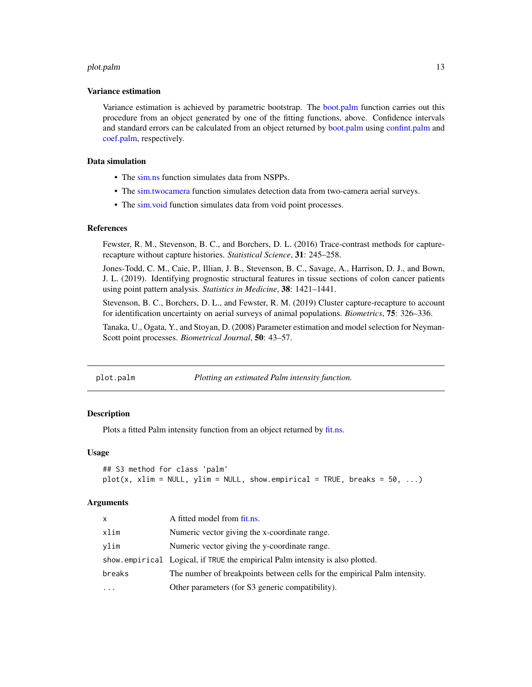#### <span id="page-12-0"></span>plot.palm and the state of the state of the state of the state of the state of the state of the state of the state of the state of the state of the state of the state of the state of the state of the state of the state of

#### Variance estimation

Variance estimation is achieved by parametric bootstrap. The [boot.palm](#page-1-1) function carries out this procedure from an object generated by one of the fitting functions, above. Confidence intervals and standard errors can be calculated from an object returned by [boot.palm](#page-1-1) using [confint.palm](#page-3-1) and [coef.palm,](#page-2-1) respectively.

#### Data simulation

- The [sim.ns](#page-13-1) function simulates data from NSPPs.
- The [sim.twocamera](#page-15-1) function simulates detection data from two-camera aerial surveys.
- The [sim.void](#page-16-1) function simulates data from void point processes.

#### References

Fewster, R. M., Stevenson, B. C., and Borchers, D. L. (2016) Trace-contrast methods for capturerecapture without capture histories. *Statistical Science*, 31: 245–258.

Jones-Todd, C. M., Caie, P., Illian, J. B., Stevenson, B. C., Savage, A., Harrison, D. J., and Bown, J. L. (2019). Identifying prognostic structural features in tissue sections of colon cancer patients using point pattern analysis. *Statistics in Medicine*, 38: 1421–1441.

Stevenson, B. C., Borchers, D. L., and Fewster, R. M. (2019) Cluster capture-recapture to account for identification uncertainty on aerial surveys of animal populations. *Biometrics*, 75: 326–336.

Tanaka, U., Ogata, Y., and Stoyan, D. (2008) Parameter estimation and model selection for Neyman-Scott point processes. *Biometrical Journal*, 50: 43–57.

<span id="page-12-1"></span>

| plot.palm |  | Plotting an estimated Palm intensity function. |
|-----------|--|------------------------------------------------|
|           |  |                                                |

#### Description

Plots a fitted Palm intensity function from an object returned by [fit.ns.](#page-5-1)

#### Usage

```
## S3 method for class 'palm'
plot(x, xlim = NULL, ylim = NULL, showempirical = TRUE, breaks = 50, ...)
```

| x        | A fitted model from fit.ns.                                                    |
|----------|--------------------------------------------------------------------------------|
| xlim     | Numeric vector giving the x-coordinate range.                                  |
| vlim     | Numeric vector giving the y-coordinate range.                                  |
|          | show, empirical Logical, if TRUE the empirical Palm intensity is also plotted. |
| breaks   | The number of breakpoints between cells for the empirical Palm intensity.      |
| $\cdots$ | Other parameters (for S3 generic compatibility).                               |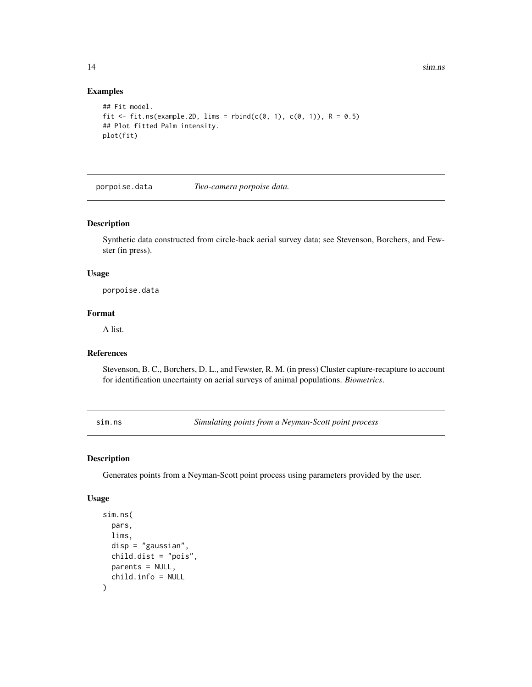# Examples

```
## Fit model.
fit \le fit.ns(example.2D, lims = rbind(c(0, 1), c(0, 1)), R = 0.5)
## Plot fitted Palm intensity.
plot(fit)
```
porpoise.data *Two-camera porpoise data.*

# Description

Synthetic data constructed from circle-back aerial survey data; see Stevenson, Borchers, and Fewster (in press).

#### Usage

porpoise.data

#### Format

A list.

# References

Stevenson, B. C., Borchers, D. L., and Fewster, R. M. (in press) Cluster capture-recapture to account for identification uncertainty on aerial surveys of animal populations. *Biometrics*.

<span id="page-13-1"></span>sim.ns *Simulating points from a Neyman-Scott point process*

# Description

Generates points from a Neyman-Scott point process using parameters provided by the user.

### Usage

```
sim.ns(
 pars,
  lims,
 disp = "gaussian",
 child.dist = "pois",
 parents = NULL,
  child.info = NULL
)
```
<span id="page-13-0"></span>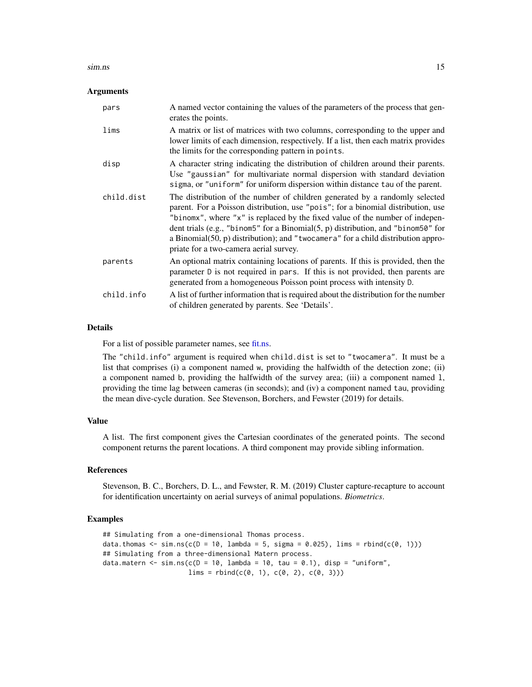#### <span id="page-14-0"></span>sim.ns and the state of the state of the state of the state of the state of the state of the state of the state of the state of the state of the state of the state of the state of the state of the state of the state of the

#### Arguments

| pars       | A named vector containing the values of the parameters of the process that gen-<br>erates the points.                                                                                                                                                                                                                                                                                                                                                                |
|------------|----------------------------------------------------------------------------------------------------------------------------------------------------------------------------------------------------------------------------------------------------------------------------------------------------------------------------------------------------------------------------------------------------------------------------------------------------------------------|
| lims       | A matrix or list of matrices with two columns, corresponding to the upper and<br>lower limits of each dimension, respectively. If a list, then each matrix provides<br>the limits for the corresponding pattern in points.                                                                                                                                                                                                                                           |
| disp       | A character string indicating the distribution of children around their parents.<br>Use "gaussian" for multivariate normal dispersion with standard deviation<br>sigma, or "uniform" for uniform dispersion within distance tau of the parent.                                                                                                                                                                                                                       |
| child.dist | The distribution of the number of children generated by a randomly selected<br>parent. For a Poisson distribution, use "pois"; for a binomial distribution, use<br>"binomx", where "x" is replaced by the fixed value of the number of indepen-<br>dent trials (e.g., "binom5" for a Binomial(5, p) distribution, and "binom50" for<br>a Binomial $(50, p)$ distribution); and "twocamera" for a child distribution appro-<br>priate for a two-camera aerial survey. |
| parents    | An optional matrix containing locations of parents. If this is provided, then the<br>parameter D is not required in pars. If this is not provided, then parents are<br>generated from a homogeneous Poisson point process with intensity D.                                                                                                                                                                                                                          |
| child.info | A list of further information that is required about the distribution for the number<br>of children generated by parents. See 'Details'.                                                                                                                                                                                                                                                                                                                             |

#### Details

For a list of possible parameter names, see [fit.ns.](#page-5-1)

The "child.info" argument is required when child.dist is set to "twocamera". It must be a list that comprises (i) a component named w, providing the halfwidth of the detection zone; (ii) a component named b, providing the halfwidth of the survey area; (iii) a component named l, providing the time lag between cameras (in seconds); and (iv) a component named tau, providing the mean dive-cycle duration. See Stevenson, Borchers, and Fewster (2019) for details.

#### Value

A list. The first component gives the Cartesian coordinates of the generated points. The second component returns the parent locations. A third component may provide sibling information.

#### References

Stevenson, B. C., Borchers, D. L., and Fewster, R. M. (2019) Cluster capture-recapture to account for identification uncertainty on aerial surveys of animal populations. *Biometrics*.

### Examples

```
## Simulating from a one-dimensional Thomas process.
data.thomas <- sim.ns(c(D = 10, lambda = 5, sigma = 0.025), lims = rbind(c(0, 1)))
## Simulating from a three-dimensional Matern process.
data.matern <- sim.ns(c(D = 10, lambda = 10, tau = 0.1), disp = "uniform",
                      lims = rbind(c(0, 1), c(0, 2), c(0, 3)))
```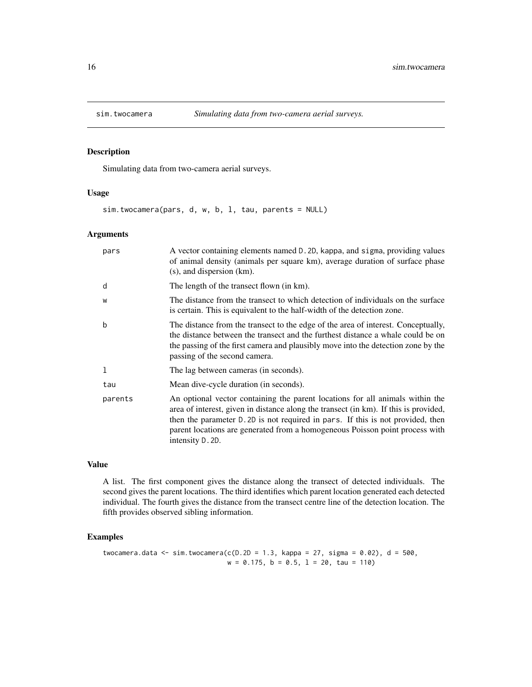<span id="page-15-1"></span><span id="page-15-0"></span>

Simulating data from two-camera aerial surveys.

#### Usage

sim.twocamera(pars, d, w, b, l, tau, parents = NULL)

#### Arguments

| pars    | A vector containing elements named D. 2D, kappa, and sigma, providing values<br>of animal density (animals per square km), average duration of surface phase<br>$(s)$ , and dispersion $(km)$ .                                                                                                                                                              |
|---------|--------------------------------------------------------------------------------------------------------------------------------------------------------------------------------------------------------------------------------------------------------------------------------------------------------------------------------------------------------------|
| d       | The length of the transect flown (in km).                                                                                                                                                                                                                                                                                                                    |
| W       | The distance from the transect to which detection of individuals on the surface<br>is certain. This is equivalent to the half-width of the detection zone.                                                                                                                                                                                                   |
| b       | The distance from the transect to the edge of the area of interest. Conceptually,<br>the distance between the transect and the furthest distance a whale could be on<br>the passing of the first camera and plausibly move into the detection zone by the<br>passing of the second camera.                                                                   |
| 1       | The lag between cameras (in seconds).                                                                                                                                                                                                                                                                                                                        |
| tau     | Mean dive-cycle duration (in seconds).                                                                                                                                                                                                                                                                                                                       |
| parents | An optional vector containing the parent locations for all animals within the<br>area of interest, given in distance along the transect (in km). If this is provided,<br>then the parameter D. 2D is not required in pars. If this is not provided, then<br>parent locations are generated from a homogeneous Poisson point process with<br>intensity D. 2D. |

### Value

A list. The first component gives the distance along the transect of detected individuals. The second gives the parent locations. The third identifies which parent location generated each detected individual. The fourth gives the distance from the transect centre line of the detection location. The fifth provides observed sibling information.

#### Examples

twocamera.data <- sim.twocamera(c( $D.2D = 1.3$ , kappa = 27, sigma = 0.02), d = 500,  $w = 0.175$ ,  $b = 0.5$ ,  $1 = 20$ ,  $tau = 110$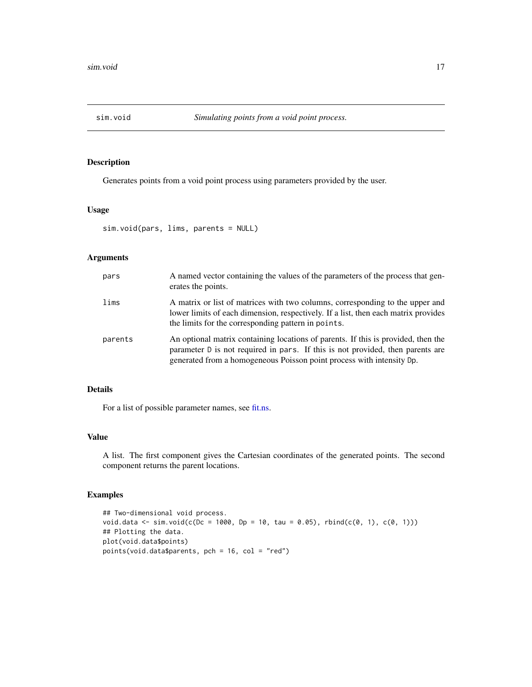<span id="page-16-1"></span><span id="page-16-0"></span>

Generates points from a void point process using parameters provided by the user.

# Usage

sim.void(pars, lims, parents = NULL)

# Arguments

| pars    | A named vector containing the values of the parameters of the process that gen-<br>erates the points.                                                                                                                                        |
|---------|----------------------------------------------------------------------------------------------------------------------------------------------------------------------------------------------------------------------------------------------|
| lims    | A matrix or list of matrices with two columns, corresponding to the upper and<br>lower limits of each dimension, respectively. If a list, then each matrix provides<br>the limits for the corresponding pattern in points.                   |
| parents | An optional matrix containing locations of parents. If this is provided, then the<br>parameter D is not required in pars. If this is not provided, then parents are<br>generated from a homogeneous Poisson point process with intensity Dp. |

#### Details

For a list of possible parameter names, see [fit.ns.](#page-5-1)

#### Value

A list. The first component gives the Cartesian coordinates of the generated points. The second component returns the parent locations.

#### Examples

```
## Two-dimensional void process.
void.data <- sim.void(c(Dc = 1000, Dp = 10, tau = 0.05), rbind(c(0, 1), c(0, 1)))
## Plotting the data.
plot(void.data$points)
points(void.data$parents, pch = 16, col = "red")
```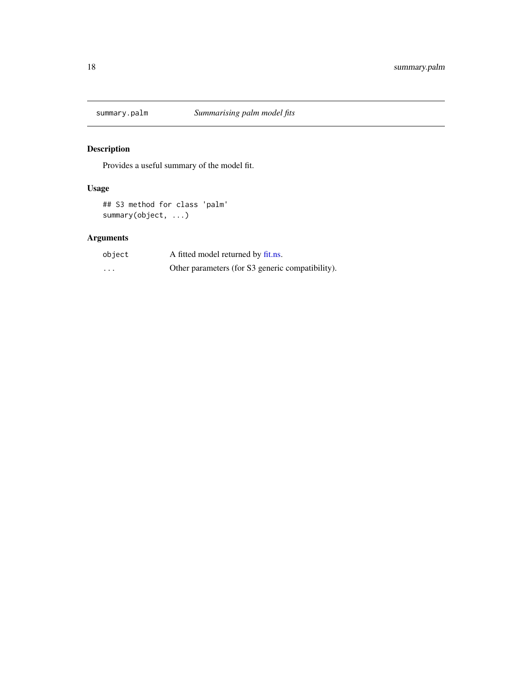<span id="page-17-1"></span><span id="page-17-0"></span>

Provides a useful summary of the model fit.

# Usage

## S3 method for class 'palm' summary(object, ...)

| object  | A fitted model returned by fit.ns.               |
|---------|--------------------------------------------------|
| $\cdot$ | Other parameters (for S3 generic compatibility). |